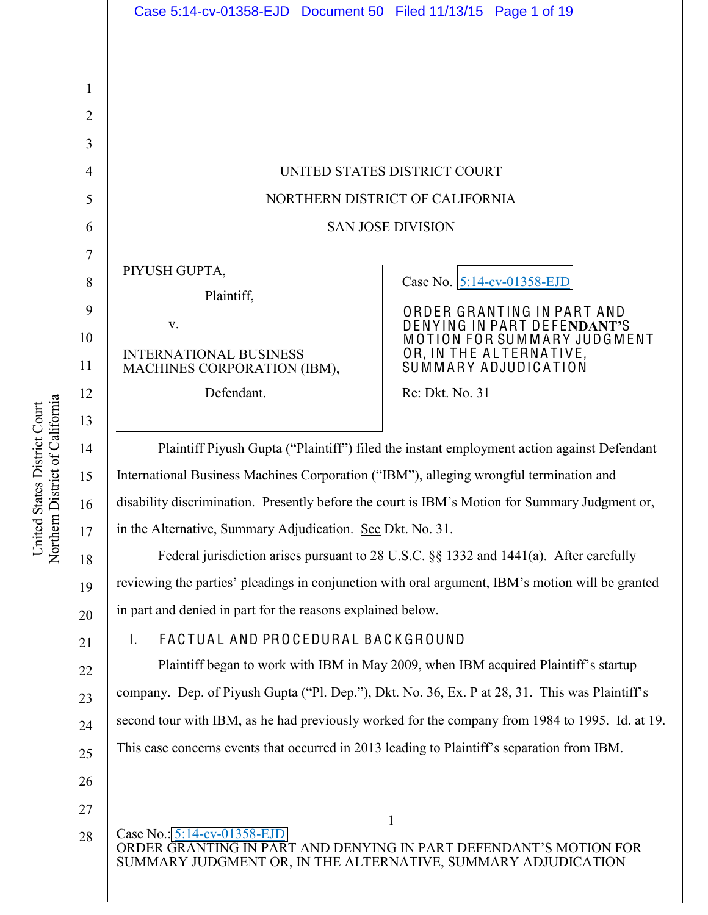|                     | Case 5:14-cv-01358-EJD  Document 50  Filed 11/13/15  Page 1 of 19                                                                                                                     |                                                            |
|---------------------|---------------------------------------------------------------------------------------------------------------------------------------------------------------------------------------|------------------------------------------------------------|
|                     |                                                                                                                                                                                       |                                                            |
|                     |                                                                                                                                                                                       |                                                            |
| 1<br>$\overline{2}$ |                                                                                                                                                                                       |                                                            |
| 3                   |                                                                                                                                                                                       |                                                            |
| $\overline{4}$      | UNITED STATES DISTRICT COURT                                                                                                                                                          |                                                            |
| 5                   | NORTHERN DISTRICT OF CALIFORNIA                                                                                                                                                       |                                                            |
| 6                   | <b>SAN JOSE DIVISION</b>                                                                                                                                                              |                                                            |
| 7                   |                                                                                                                                                                                       |                                                            |
| 8                   | PIYUSH GUPTA,                                                                                                                                                                         | Case No. 5:14-cv-01358-EJD                                 |
| 9                   | Plaintiff,                                                                                                                                                                            | ORDER GRANTING IN PART AND                                 |
| 10                  | V.                                                                                                                                                                                    | DENYING IN PART DEFENDANT'S<br>MOTION FOR SUMMARY JUDGMENT |
| 11                  | <b>INTERNATIONAL BUSINESS</b><br>MACHINES CORPORATION (IBM),                                                                                                                          | OR, IN THE ALTERNATIVE,<br>SUMMARY ADJUDICATION            |
| 12                  | Defendant.                                                                                                                                                                            | Re: Dkt. No. 31                                            |
| 13                  |                                                                                                                                                                                       |                                                            |
| 14                  | Plaintiff Piyush Gupta ("Plaintiff") filed the instant employment action against Defendant                                                                                            |                                                            |
| 15                  | International Business Machines Corporation ("IBM"), alleging wrongful termination and                                                                                                |                                                            |
| 16                  | disability discrimination. Presently before the court is IBM's Motion for Summary Judgment or,                                                                                        |                                                            |
| 17                  | in the Alternative, Summary Adjudication. See Dkt. No. 31.                                                                                                                            |                                                            |
| 18                  | Federal jurisdiction arises pursuant to 28 U.S.C. $\S$ 1332 and 1441(a). After carefully                                                                                              |                                                            |
| 19                  | reviewing the parties' pleadings in conjunction with oral argument, IBM's motion will be granted                                                                                      |                                                            |
| 20                  | in part and denied in part for the reasons explained below.                                                                                                                           |                                                            |
| 21                  | FACTUAL AND PROCEDURAL BACKGROUND<br>T.                                                                                                                                               |                                                            |
| 22                  | Plaintiff began to work with IBM in May 2009, when IBM acquired Plaintiff's startup<br>company. Dep. of Piyush Gupta ("Pl. Dep."), Dkt. No. 36, Ex. P at 28, 31. This was Plaintiff's |                                                            |
| 23                  | second tour with IBM, as he had previously worked for the company from 1984 to 1995. Id. at 19.                                                                                       |                                                            |
| 24                  | This case concerns events that occurred in 2013 leading to Plaintiff's separation from IBM.                                                                                           |                                                            |
| 25                  |                                                                                                                                                                                       |                                                            |
| 26                  |                                                                                                                                                                                       |                                                            |
| 27<br>28            | 1<br>Case No.: $5:14$ -cv-01358-EJD                                                                                                                                                   |                                                            |
|                     | ORDER GRANTING IN PART AND DENYING IN PART DEFENDANT'S MOTION FOR<br>SUMMARY JUDGMENT OR, IN THE ALTERNATIVE, SUMMARY ADJUDICATION                                                    |                                                            |
|                     |                                                                                                                                                                                       |                                                            |

United States District Court<br>Northern District of California Northern District of California United States District Court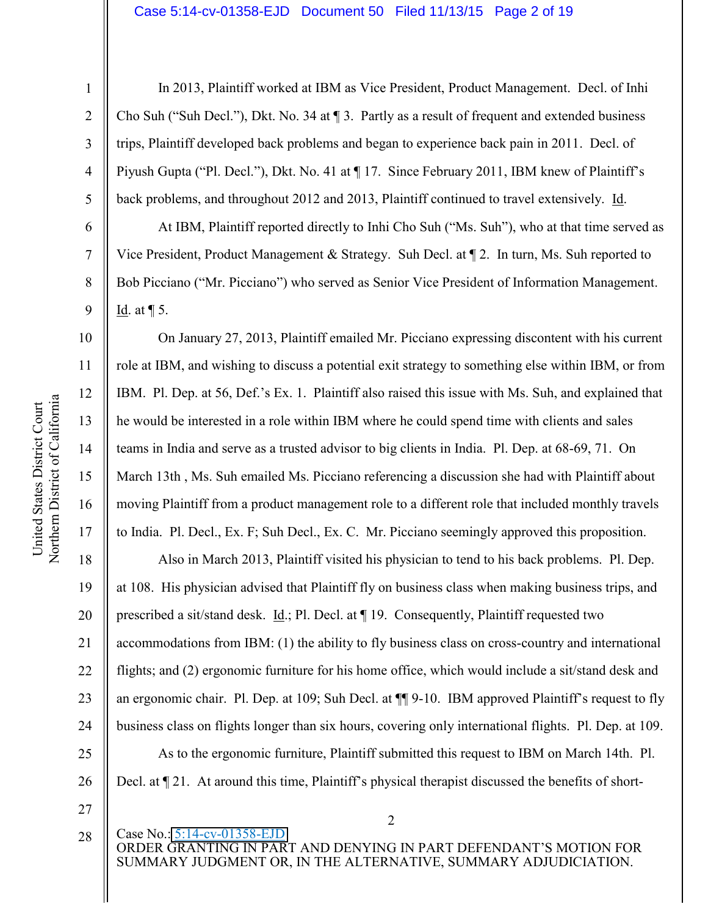#### Case 5:14-cv-01358-EJD Document 50 Filed 11/13/15 Page 2 of 19

1

2

3

4

5

6

7

8

9

10

11

12

13

14

15

16

17

In 2013, Plaintiff worked at IBM as Vice President, Product Management. Decl. of Inhi Cho Suh ("Suh Decl."), Dkt. No. 34 at  $\P$  3. Partly as a result of frequent and extended business trips, Plaintiff developed back problems and began to experience back pain in 2011. Decl. of Piyush Gupta ("Pl. Decl."), Dkt. No. 41 at ¶17. Since February 2011, IBM knew of Plaintiff's back problems, and throughout 2012 and 2013, Plaintiff continued to travel extensively. Id.

At IBM, Plaintiff reported directly to Inhi Cho Suh ("Ms. Suh"), who at that time served as Vice President, Product Management & Strategy. Suh Decl. at ¶ 2. In turn, Ms. Suh reported to Bob Picciano ("Mr. Picciano") who served as Senior Vice President of Information Management. Id. at  $\P$  5.

On January 27, 2013, Plaintiff emailed Mr. Picciano expressing discontent with his current role at IBM, and wishing to discuss a potential exit strategy to something else within IBM, or from IBM. Pl. Dep. at 56, Def.'s Ex. 1. Plaintiff also raised this issue with Ms. Suh, and explained that he would be interested in a role within IBM where he could spend time with clients and sales teams in India and serve as a trusted advisor to big clients in India. Pl. Dep. at 68-69, 71. On March 13th , Ms. Suh emailed Ms. Picciano referencing a discussion she had with Plaintiff about moving Plaintiff from a product management role to a different role that included monthly travels to India. Pl. Decl., Ex. F; Suh Decl., Ex. C. Mr. Picciano seemingly approved this proposition.

18 19 20 21 22 23 24 25 26 Also in March 2013, Plaintiff visited his physician to tend to his back problems. Pl. Dep. at 108. His physician advised that Plaintiff fly on business class when making business trips, and prescribed a sit/stand desk. Id.; Pl. Decl. at ¶ 19. Consequently, Plaintiff requested two accommodations from IBM: (1) the ability to fly business class on cross-country and international flights; and (2) ergonomic furniture for his home office, which would include a sit/stand desk and an ergonomic chair. Pl. Dep. at 109; Suh Decl. at  $\P\P$ 9-10. IBM approved Plaintiff's request to fly business class on flights longer than six hours, covering only international flights. Pl. Dep. at 109. As to the ergonomic furniture, Plaintiff submitted this request to IBM on March 14th. Pl. Decl. at  $\P$  21. At around this time, Plaintiff's physical therapist discussed the benefits of short-

27

28

Case No.: 5:14-cv-01358-EJD ORDER GRANTING IN PART AND DENYING IN PART DEFENDANT'S MOTION FOR SUMMARY JUDGMENT OR, IN THE ALTERNATIVE, SUMMARY ADJUDICIATION.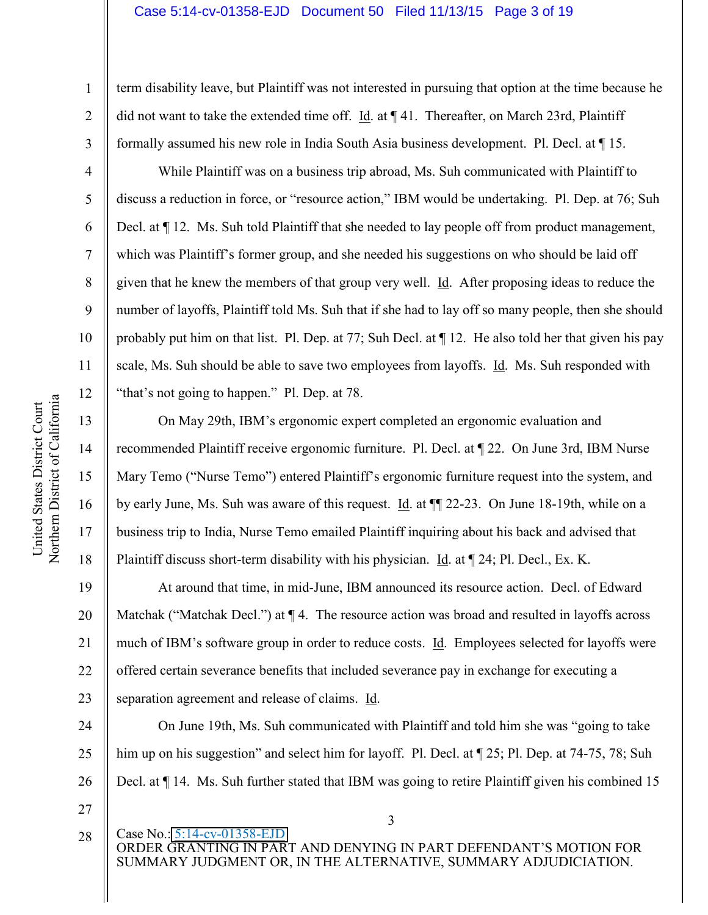### Case 5:14-cv-01358-EJD Document 50 Filed 11/13/15 Page 3 of 19

term disability leave, but Plaintiff was not interested in pursuing that option at the time because he did not want to take the extended time off. Id. at ¶ 41. Thereafter, on March 23rd, Plaintiff formally assumed his new role in India South Asia business development. Pl. Decl. at ¶ 15.

While Plaintiff was on a business trip abroad, Ms. Suh communicated with Plaintiff to discuss a reduction in force, or "resource action," IBM would be undertaking. Pl. Dep. at 76; Suh Decl. at  $\P$  12. Ms. Suh told Plaintiff that she needed to lay people off from product management, which was Plaintiff's former group, and she needed his suggestions on who should be laid off given that he knew the members of that group very well. Id. After proposing ideas to reduce the number of layoffs, Plaintiff told Ms. Suh that if she had to lay off so many people, then she should probably put him on that list. Pl. Dep. at 77; Suh Decl. at ¶ 12. He also told her that given his pay scale, Ms. Suh should be able to save two employees from layoffs. Id. Ms. Suh responded with "that's not going to happen." Pl. Dep. at  $78$ .

On May 29th, IBM's ergonomic expert completed an ergonomic evaluation and recommended Plaintiff receive ergonomic furniture. Pl. Decl. at ¶ 22. On June 3rd, IBM Nurse Mary Temo ("Nurse Temo") entered Plaintiff's ergonomic furniture request into the system, and by early June, Ms. Suh was aware of this request. Id. at ¶¶ 22-23. On June 18-19th, while on a business trip to India, Nurse Temo emailed Plaintiff inquiring about his back and advised that Plaintiff discuss short-term disability with his physician. Id. at ¶ 24; Pl. Decl., Ex. K.

19 20 21 22 23 At around that time, in mid-June, IBM announced its resource action. Decl. of Edward Matchak ("Matchak Decl.") at  $\P$  4. The resource action was broad and resulted in layoffs across much of IBM's software group in order to reduce costs. Id. Employees selected for layoffs were offered certain severance benefits that included severance pay in exchange for executing a separation agreement and release of claims. Id.

24 25 26 27 On June 19th, Ms. Suh communicated with Plaintiff and told him she was "going to take him up on his suggestion" and select him for layoff. Pl. Decl. at  $\P$  25; Pl. Dep. at 74-75, 78; Suh Decl. at  $\P$  14. Ms. Suh further stated that IBM was going to retire Plaintiff given his combined 15

1

2

3

4

5

6

7

8

9

10

11

12

13

14

15

16

17

18

28

3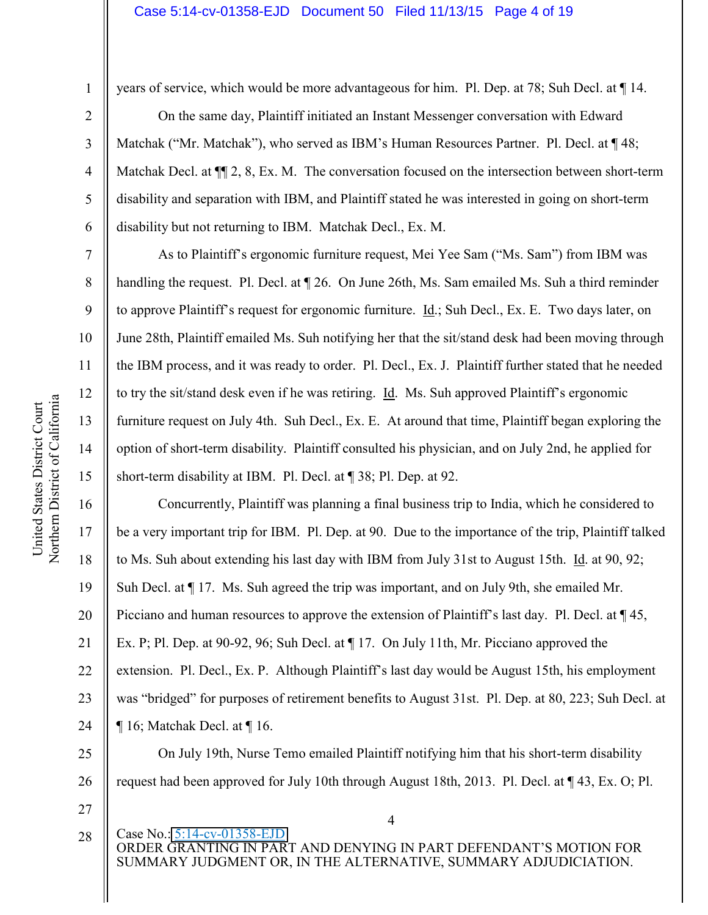### Case 5:14-cv-01358-EJD Document 50 Filed 11/13/15 Page 4 of 19

3

4

5

6

7

8

9

10

11

12

13

14

15

17

18

19

21

years of service, which would be more advantageous for him. Pl. Dep. at 78; Suh Decl. at ¶ 14.

On the same day, Plaintiff initiated an Instant Messenger conversation with Edward Matchak ("Mr. Matchak"), who served as IBM's Human Resources Partner. Pl. Decl. at  $\P$  48; Matchak Decl. at  $\P$  2, 8, Ex. M. The conversation focused on the intersection between short-term disability and separation with IBM, and Plaintiff stated he was interested in going on short-term disability but not returning to IBM. Matchak Decl., Ex. M.

As to Plaintiff's ergonomic furniture request, Mei Yee Sam ("Ms. Sam") from IBM was handling the request. Pl. Decl. at  $\sqrt{26}$ . On June 26th, Ms. Sam emailed Ms. Suh a third reminder to approve Plaintiff's request for ergonomic furniture.  $\underline{Id}$ .; Suh Decl., Ex. E. Two days later, on June 28th, Plaintiff emailed Ms. Suh notifying her that the sit/stand desk had been moving through the IBM process, and it was ready to order. Pl. Decl., Ex. J. Plaintiff further stated that he needed to try the sit/stand desk even if he was retiring. Id. Ms. Suh approved Plaintiff's ergonomic furniture request on July 4th. Suh Decl., Ex. E. At around that time, Plaintiff began exploring the option of short-term disability. Plaintiff consulted his physician, and on July 2nd, he applied for short-term disability at IBM. Pl. Decl. at ¶ 38; Pl. Dep. at 92.

16 20 22 23 24 Concurrently, Plaintiff was planning a final business trip to India, which he considered to be a very important trip for IBM. Pl. Dep. at 90. Due to the importance of the trip, Plaintiff talked to Ms. Suh about extending his last day with IBM from July 31st to August 15th. Id. at 90, 92; Suh Decl. at ¶ 17. Ms. Suh agreed the trip was important, and on July 9th, she emailed Mr. Picciano and human resources to approve the extension of Plaintiff's last day. Pl. Decl. at  $\P$  45, Ex. P; Pl. Dep. at 90-92, 96; Suh Decl. at  $\P$  17. On July 11th, Mr. Picciano approved the extension. Pl. Decl., Ex. P. Although Plaintiff's last day would be August 15th, his employment was "bridged" for purposes of retirement benefits to August 31st. Pl. Dep. at 80, 223; Suh Decl. at ¶ 16; Matchak Decl. at ¶ 16.

25 26 On July 19th, Nurse Temo emailed Plaintiff notifying him that his short-term disability request had been approved for July 10th through August 18th, 2013. Pl. Decl. at ¶ 43, Ex. O; Pl.

- 27
- 28

4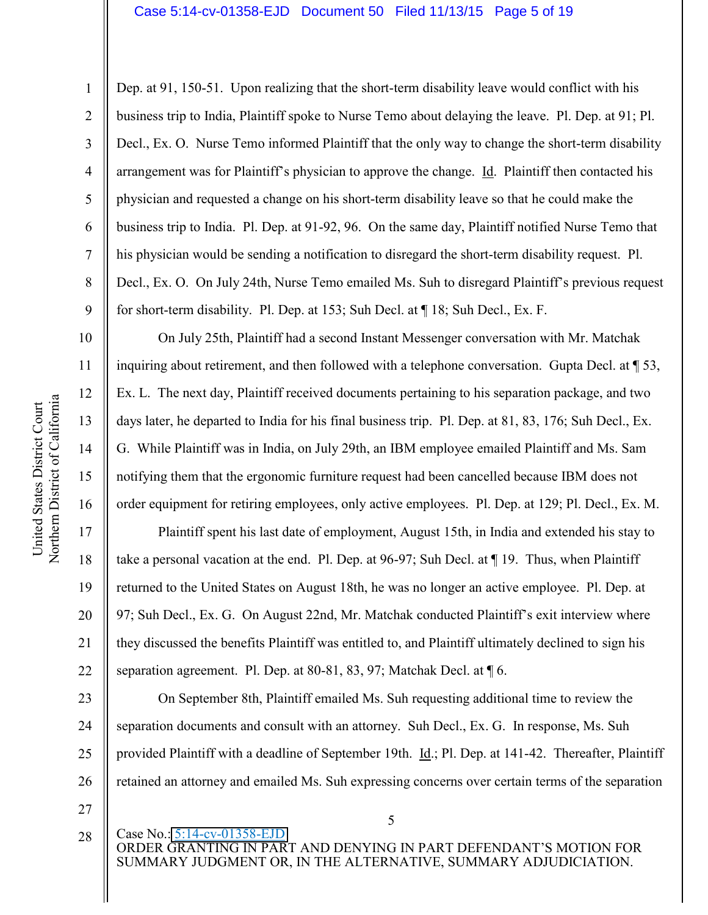### Case 5:14-cv-01358-EJD Document 50 Filed 11/13/15 Page 5 of 19

Dep. at 91, 150-51. Upon realizing that the short-term disability leave would conflict with his business trip to India, Plaintiff spoke to Nurse Temo about delaying the leave. Pl. Dep. at 91; Pl. Decl., Ex. O. Nurse Temo informed Plaintiff that the only way to change the short-term disability arrangement was for Plaintiff's physician to approve the change. Id. Plaintiff then contacted his physician and requested a change on his short-term disability leave so that he could make the business trip to India. Pl. Dep. at 91-92, 96. On the same day, Plaintiff notified Nurse Temo that his physician would be sending a notification to disregard the short-term disability request. Pl. Decl., Ex. O. On July 24th, Nurse Temo emailed Ms. Suh to disregard Plaintiff's previous request for short-term disability. Pl. Dep. at 153; Suh Decl. at ¶ 18; Suh Decl., Ex. F.

On July 25th, Plaintiff had a second Instant Messenger conversation with Mr. Matchak inquiring about retirement, and then followed with a telephone conversation. Gupta Decl. at  $\sqrt{ }$  53, Ex. L. The next day, Plaintiff received documents pertaining to his separation package, and two days later, he departed to India for his final business trip. Pl. Dep. at 81, 83, 176; Suh Decl., Ex. G. While Plaintiff was in India, on July 29th, an IBM employee emailed Plaintiff and Ms. Sam notifying them that the ergonomic furniture request had been cancelled because IBM does not order equipment for retiring employees, only active employees. Pl. Dep. at 129; Pl. Decl., Ex. M.

Plaintiff spent his last date of employment, August 15th, in India and extended his stay to take a personal vacation at the end. Pl. Dep. at 96-97; Suh Decl. at ¶ 19. Thus, when Plaintiff returned to the United States on August 18th, he was no longer an active employee. Pl. Dep. at 97; Suh Decl., Ex. G. On August 22nd, Mr. Matchak conducted Plaintiff's exit interview where they discussed the benefits Plaintiff was entitled to, and Plaintiff ultimately declined to sign his separation agreement. Pl. Dep. at 80-81, 83, 97; Matchak Decl. at ¶ 6.

23 24 25 26 On September 8th, Plaintiff emailed Ms. Suh requesting additional time to review the separation documents and consult with an attorney. Suh Decl., Ex. G. In response, Ms. Suh provided Plaintiff with a deadline of September 19th. Id.; Pl. Dep. at 141-42. Thereafter, Plaintiff retained an attorney and emailed Ms. Suh expressing concerns over certain terms of the separation

- 27
- 28

Case No.: 5:14-cv-01358-EJD ORDER GRANTING IN PART AND DENYING IN PART DEFENDANT'S MOTION FOR SUMMARY JUDGMENT OR, IN THE ALTERNATIVE, SUMMARY ADJUDICIATION.

5

1

2

3

4

5

6

7

8

9

10

11

12

13

14

15

16

17

18

19

20

21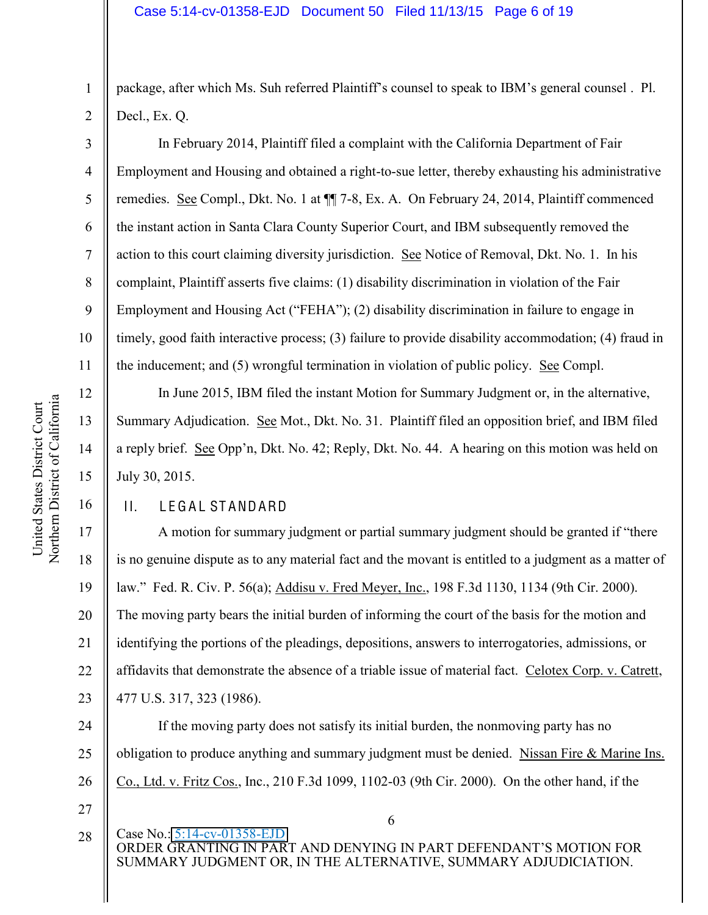1 2 package, after which Ms. Suh referred Plaintiff's counsel to speak to IBM's general counsel. Pl. Decl., Ex. Q.

In February 2014, Plaintiff filed a complaint with the California Department of Fair Employment and Housing and obtained a right-to-sue letter, thereby exhausting his administrative remedies. See Compl., Dkt. No. 1 at  $\P$  7-8, Ex. A. On February 24, 2014, Plaintiff commenced the instant action in Santa Clara County Superior Court, and IBM subsequently removed the action to this court claiming diversity jurisdiction. See Notice of Removal, Dkt. No. 1. In his complaint, Plaintiff asserts five claims: (1) disability discrimination in violation of the Fair Employment and Housing Act ("FEHA"); (2) disability discrimination in failure to engage in timely, good faith interactive process; (3) failure to provide disability accommodation; (4) fraud in the inducement; and (5) wrongful termination in violation of public policy. See Compl.

In June 2015, IBM filed the instant Motion for Summary Judgment or, in the alternative, Summary Adjudication. See Mot., Dkt. No. 31. Plaintiff filed an opposition brief, and IBM filed a reply brief. See Opp'n, Dkt. No. 42; Reply, Dkt. No. 44. A hearing on this motion was held on July 30, 2015.

### II. LEGAL STANDARD

A motion for summary judgment or partial summary judgment should be granted if "there" is no genuine dispute as to any material fact and the movant is entitled to a judgment as a matter of law." Fed. R. Civ. P. 56(a); Addisu v. Fred Meyer, Inc., 198 F.3d 1130, 1134 (9th Cir. 2000). The moving party bears the initial burden of informing the court of the basis for the motion and identifying the portions of the pleadings, depositions, answers to interrogatories, admissions, or affidavits that demonstrate the absence of a triable issue of material fact. Celotex Corp. v. Catrett, 477 U.S. 317, 323 (1986).

24 25 26 If the moving party does not satisfy its initial burden, the nonmoving party has no obligation to produce anything and summary judgment must be denied. Nissan Fire & Marine Ins. Co., Ltd. v. Fritz Cos., Inc., 210 F.3d 1099, 1102-03 (9th Cir. 2000). On the other hand, if the

- 27
- 28

Case No.: 5:14-cv-01358-EJD ORDER GRANTING IN PART AND DENYING IN PART DEFENDANT'S MOTION FOR SUMMARY JUDGMENT OR, IN THE ALTERNATIVE, SUMMARY ADJUDICIATION.

6

3

4

5

6

7

8

9

10

11

12

13

14

15

16

17

18

19

20

21

22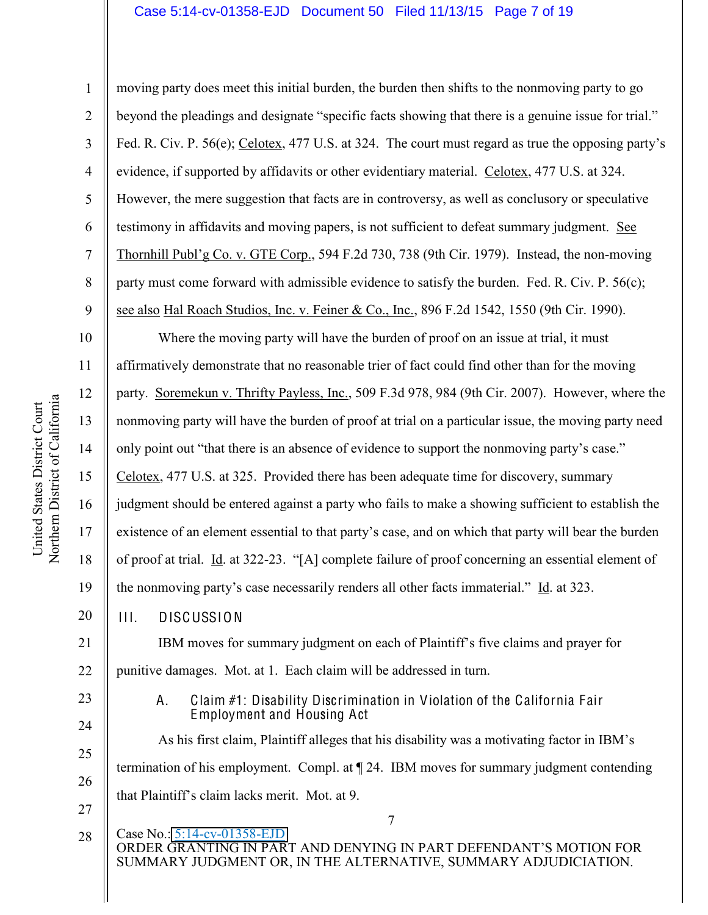### Case 5:14-cv-01358-EJD Document 50 Filed 11/13/15 Page 7 of 19

9 moving party does meet this initial burden, the burden then shifts to the nonmoving party to go beyond the pleadings and designate "specific facts showing that there is a genuine issue for trial." Fed. R. Civ. P. 56(e); Celotex, 477 U.S. at 324. The court must regard as true the opposing party's evidence, if supported by affidavits or other evidentiary material. Celotex, 477 U.S. at 324. However, the mere suggestion that facts are in controversy, as well as conclusory or speculative testimony in affidavits and moving papers, is not sufficient to defeat summary judgment. See Thornhill Publ'g Co. v. GTE Corp., 594 F.2d 730, 738 (9th Cir. 1979). Instead, the non-moving party must come forward with admissible evidence to satisfy the burden. Fed. R. Civ. P.  $56(c)$ ; see also Hal Roach Studios, Inc. v. Feiner & Co., Inc., 896 F.2d 1542, 1550 (9th Cir. 1990).

10 11 12 13 14 15 16 17 18 19 20 Where the moving party will have the burden of proof on an issue at trial, it must affirmatively demonstrate that no reasonable trier of fact could find other than for the moving party. Soremekun v. Thrifty Payless, Inc., 509 F.3d 978, 984 (9th Cir. 2007). However, where the nonmoving party will have the burden of proof at trial on a particular issue, the moving party need only point out "that there is an absence of evidence to support the nonmoving party's case." Celotex, 477 U.S. at 325. Provided there has been adequate time for discovery, summary judgment should be entered against a party who fails to make a showing sufficient to establish the existence of an element essential to that party's case, and on which that party will bear the burden of proof at trial. Id. at 322-23. "[A] complete failure of proof concerning an essential element of the nonmoving party's case necessarily renders all other facts immaterial." Id. at 323. III. DISCUSSION

21 22 IBM moves for summary judgment on each of Plaintiff's five claims and prayer for punitive damages. Mot. at 1. Each claim will be addressed in turn.

> A. Claim #1: Disability Discrimination in Violation of the California Fair Employment and Housing Act

As his first claim, Plaintiff alleges that his disability was a motivating factor in IBM's termination of his employment. Compl. at ¶ 24. IBM moves for summary judgment contending that Plaintiff's claim lacks merit. Mot. at 9.

7 Case No.: 5:14-cv-01358-EJD ORDER GRANTING IN PART AND DENYING IN PART DEFENDANT'S MOTION FOR SUMMARY JUDGMENT OR, IN THE ALTERNATIVE, SUMMARY ADJUDICIATION. 28

23

24

25

26

27

1

2

3

4

5

6

7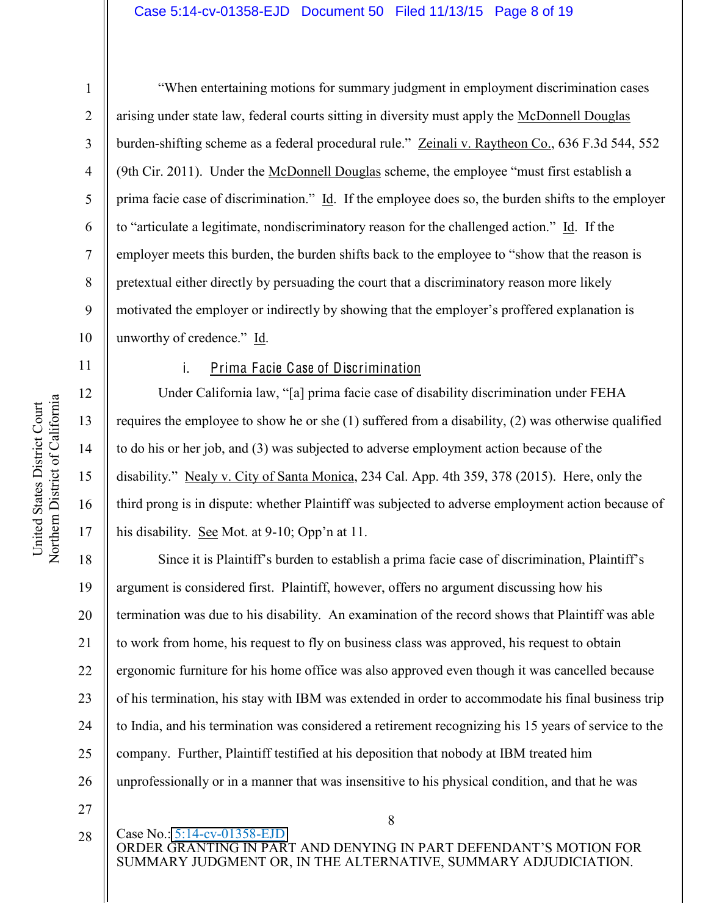### Case 5:14-cv-01358-EJD Document 50 Filed 11/13/15 Page 8 of 19

1

2

3

4

5

8

11

12

13

14

15

16

17

6 7 9 10 "When entertaining motions for summary judgment in employment discrimination cases arising under state law, federal courts sitting in diversity must apply the McDonnell Douglas burden-shifting scheme as a federal procedural rule." Zeinali v. Raytheon Co., 636 F.3d 544, 552 (9th Cir. 2011). Under the McDonnell Douglas scheme, the employee "must first establish a prima facie case of discrimination." Id. If the employee does so, the burden shifts to the employer to "articulate a legitimate, nondiscriminatory reason for the challenged action." Id. If the employer meets this burden, the burden shifts back to the employee to "show that the reason is pretextual either directly by persuading the court that a discriminatory reason more likely motivated the employer or indirectly by showing that the employer's proffered explanation is unworthy of credence." Id.

### i. Prima Facie Case of Discrimination

Under California law, "[a] prima facie case of disability discrimination under FEHA requires the employee to show he or she (1) suffered from a disability, (2) was otherwise qualified to do his or her job, and (3) was subjected to adverse employment action because of the disability." Nealy v. City of Santa Monica, 234 Cal. App. 4th 359, 378 (2015). Here, only the third prong is in dispute: whether Plaintiff was subjected to adverse employment action because of his disability. See Mot. at  $9-10$ ; Opp'n at 11.

18 19 20 21 22 23 24 25 26 Since it is Plaintiff's burden to establish a prima facie case of discrimination, Plaintiff's argument is considered first. Plaintiff, however, offers no argument discussing how his termination was due to his disability. An examination of the record shows that Plaintiff was able to work from home, his request to fly on business class was approved, his request to obtain ergonomic furniture for his home office was also approved even though it was cancelled because of his termination, his stay with IBM was extended in order to accommodate his final business trip to India, and his termination was considered a retirement recognizing his 15 years of service to the company. Further, Plaintiff testified at his deposition that nobody at IBM treated him unprofessionally or in a manner that was insensitive to his physical condition, and that he was

- 27
- 28

Case No.: 5:14-cv-01358-EJD

8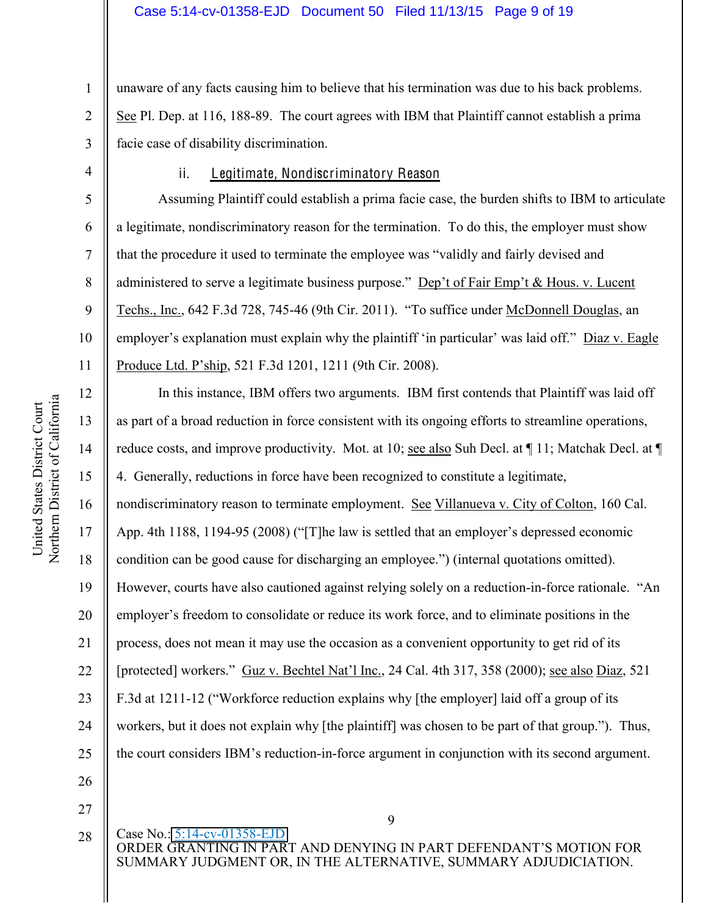1 2 3 unaware of any facts causing him to believe that his termination was due to his back problems. See Pl. Dep. at 116, 188-89. The court agrees with IBM that Plaintiff cannot establish a prima facie case of disability discrimination.

4

5

6

7

8

9

10

11

### ii. Legitimate, Nondiscriminatory Reason

Assuming Plaintiff could establish a prima facie case, the burden shifts to IBM to articulate a legitimate, nondiscriminatory reason for the termination. To do this, the employer must show that the procedure it used to terminate the employee was "validly and fairly devised and administered to serve a legitimate business purpose." Dep't of Fair Emp't & Hous. v. Lucent Techs., Inc., 642 F.3d 728, 745-46 (9th Cir. 2011). "To suffice under McDonnell Douglas, an employer's explanation must explain why the plaint of "in particular" was laid off." Diaz v. Eagle Produce Ltd. P'ship, 521 F.3d 1201, 1211 (9th Cir. 2008).

9 12 13 14 15 16 17 18 19 20 21 22 23 24 25 26 27 In this instance, IBM offers two arguments. IBM first contends that Plaintiff was laid off as part of a broad reduction in force consistent with its ongoing efforts to streamline operations, reduce costs, and improve productivity. Mot. at 10; see also Suh Decl. at ¶ 11; Matchak Decl. at ¶ 4. Generally, reductions in force have been recognized to constitute a legitimate, nondiscriminatory reason to terminate employment. See Villanueva v. City of Colton, 160 Cal. App. 4th  $1188$ ,  $1194-95$  (2008) ("The law is settled that an employer's depressed economic condition can be good cause for discharging an employee.") (internal quotations omitted). However, courts have also cautioned against relying solely on a reduction-in-force rationale. "An employer's freedom to consolidate or reduce its work force, and to eliminate positions in the process, does not mean it may use the occasion as a convenient opportunity to get rid of its [protected] workers." Guz v. Bechtel Nat'l Inc., 24 Cal. 4th 317, 358 (2000); see also Diaz, 521 F.3d at 1211-12 ("Workforce reduction explains why [the employer] laid off a group of its workers, but it does not explain why [the plaintiff] was chosen to be part of that group."). Thus, the court considers IBM's reduction-in-force argument in conjunction with its second argument.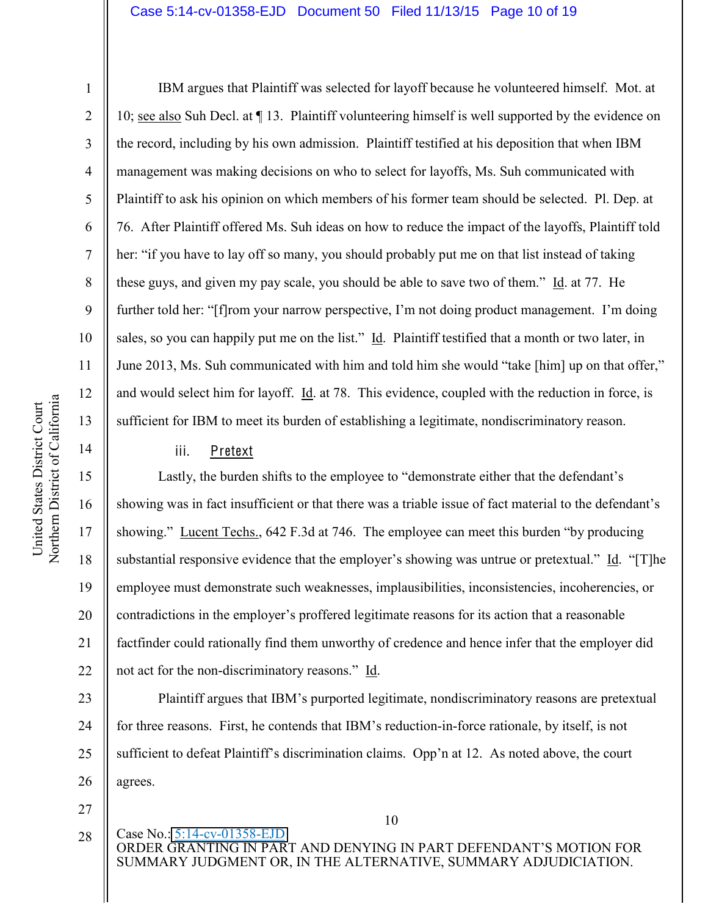### Case 5:14-cv-01358-EJD Document 50 Filed 11/13/15 Page 10 of 19

1

2

3

4

5

6

7

8

9

10

11

12

13

14

15

16

17

18

19

20

21

22

IBM argues that Plaintiff was selected for layoff because he volunteered himself. Mot. at 10; see also Suh Decl. at ¶ 13. Plaintiff volunteering himself is well supported by the evidence on the record, including by his own admission. Plaintiff testified at his deposition that when IBM management was making decisions on who to select for layoffs, Ms. Suh communicated with Plaintiff to ask his opinion on which members of his former team should be selected. Pl. Dep. at 76. After Plaintiff offered Ms. Suh ideas on how to reduce the impact of the layoffs, Plaintiff told her: "if you have to lay off so many, you should probably put me on that list instead of taking these guys, and given my pay scale, you should be able to save two of them." Id. at 77. He further told her: "[f]rom your narrow perspective, I'm not doing product management. I'm doing sales, so you can happily put me on the list." Id. Plaintiff testified that a month or two later, in June 2013, Ms. Suh communicated with him and told him she would "take [him] up on that offer," and would select him for layoff. Id. at 78. This evidence, coupled with the reduction in force, is sufficient for IBM to meet its burden of establishing a legitimate, nondiscriminatory reason.

## iii. Pretext

Lastly, the burden shifts to the employee to "demonstrate either that the defendant's showing was in fact insufficient or that there was a triable issue of fact material to the defendant's showing." <u>Lucent Techs.</u>, 642 F.3d at 746. The employee can meet this burden "by producing substantial responsive evidence that the employer's showing was untrue or pretextual." Id. "[T]he employee must demonstrate such weaknesses, implausibilities, inconsistencies, incoherencies, or contradictions in the employer's proffered legitimate reasons for its action that a reasonable factfinder could rationally find them unworthy of credence and hence infer that the employer did not act for the non-discriminatory reasons." Id.

23 24 25 26 Plaintiff argues that IBM's purported legitimate, nondiscriminatory reasons are pretextual for three reasons. First, he contends that IBM's reduction-in-force rationale, by itself, is not sufficient to defeat Plaintiff's discrimination claims. Opp'n at 12. As noted above, the court agrees.

27

28

10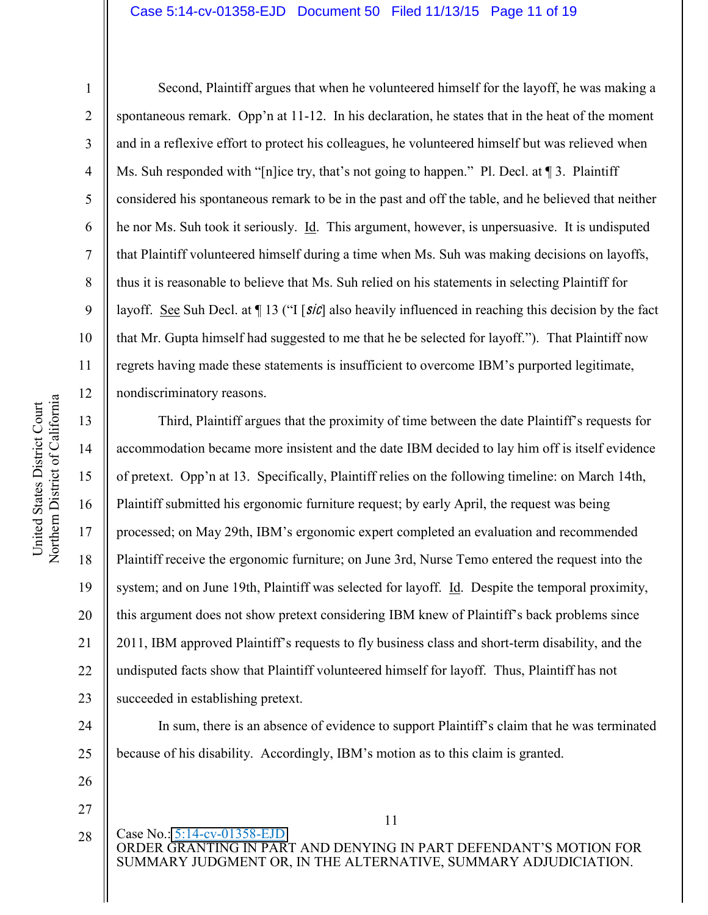### Case 5:14-cv-01358-EJD Document 50 Filed 11/13/15 Page 11 of 19

1

2

3

4

5

6

7

8

9

10

11

12

13

14

15

16

17

18

19

20

21

22

23

24

25

26

Second, Plaintiff argues that when he volunteered himself for the layoff, he was making a spontaneous remark. Opp'n at  $11-12$ . In his declaration, he states that in the heat of the moment and in a reflexive effort to protect his colleagues, he volunteered himself but was relieved when Ms. Suh responded with "[n]ice try, that's not going to happen." Pl. Decl. at  $\P$  3. Plaintiff considered his spontaneous remark to be in the past and off the table, and he believed that neither he nor Ms. Suh took it seriously. Id. This argument, however, is unpersuasive. It is undisputed that Plaintiff volunteered himself during a time when Ms. Suh was making decisions on layoffs, thus it is reasonable to believe that Ms. Suh relied on his statements in selecting Plaintiff for layoff. See Suh Decl. at  $\P$  13 ("I [sic] also heavily influenced in reaching this decision by the fact that Mr. Gupta himself had suggested to me that he be selected for layoff."). That Plaintiff now regrets having made these statements is insufficient to overcome IBM's purported legitimate, nondiscriminatory reasons.

Third, Plaintiff argues that the proximity of time between the date Plaintiff's requests for accommodation became more insistent and the date IBM decided to lay him off is itself evidence of pretext. Opp'n at 13. Specifically, Plaintiff relies on the following timeline: on March 14th, Plaintiff submitted his ergonomic furniture request; by early April, the request was being processed; on May 29th, IBM's ergonomic expert completed an evaluation and recommended Plaintiff receive the ergonomic furniture; on June 3rd, Nurse Temo entered the request into the system; and on June 19th, Plaintiff was selected for layoff. Id. Despite the temporal proximity, this argument does not show pretext considering IBM knew of Plaintiff's back problems since 2011, IBM approved Plaintiff's requests to fly business class and short-term disability, and the undisputed facts show that Plaintiff volunteered himself for layoff. Thus, Plaintiff has not succeeded in establishing pretext.

In sum, there is an absence of evidence to support Plaintiff's claim that he was terminated because of his disability. Accordingly, IBM's motion as to this claim is granted.

27

28

11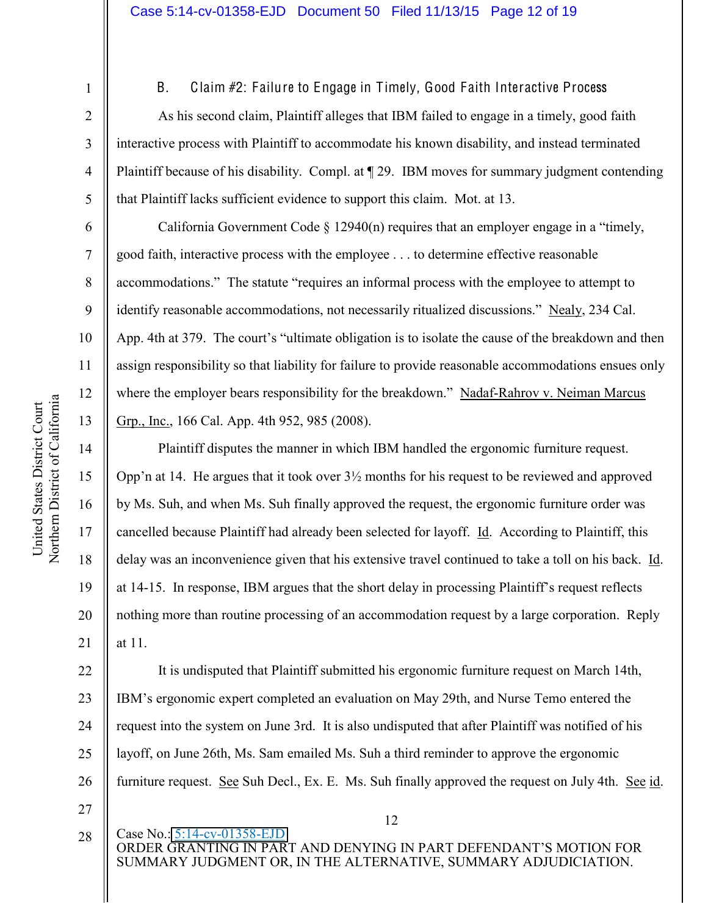9

10

11

12

13

14

15

16

17

18

19

20

21

1

B. Claim #2: Failure to Engage in Timely, Good Faith Interactive Process

As his second claim, Plaintiff alleges that IBM failed to engage in a timely, good faith interactive process with Plaintiff to accommodate his known disability, and instead terminated Plaintiff because of his disability. Compl. at  $\P$  29. IBM moves for summary judgment contending that Plaintiff lacks sufficient evidence to support this claim. Mot. at 13.

California Government Code  $\S$  12940(n) requires that an employer engage in a "timely, good faith, interactive process with the employee . . . to determine effective reasonable accommodations." The statute "requires an informal process with the employee to attempt to identify reasonable accommodations, not necessarily ritualized discussions." Nealy, 234 Cal. App. 4th at 379. The court's "ultimate obligation is to isolate the cause of the breakdown and then assign responsibility so that liability for failure to provide reasonable accommodations ensues only where the employer bears responsibility for the breakdown." Nadaf-Rahrov v. Neiman Marcus Grp., Inc., 166 Cal. App. 4th 952, 985 (2008).

Plaintiff disputes the manner in which IBM handled the ergonomic furniture request. Opp'n at 14. He argues that it took over  $3\frac{1}{2}$  months for his request to be reviewed and approved by Ms. Suh, and when Ms. Suh finally approved the request, the ergonomic furniture order was cancelled because Plaintiff had already been selected for layoff. Id. According to Plaintiff, this delay was an inconvenience given that his extensive travel continued to take a toll on his back. Id. at  $14-15$ . In response, IBM argues that the short delay in processing Plaintiff's request reflects nothing more than routine processing of an accommodation request by a large corporation. Reply at 11.

22 23 24 25 26 27 It is undisputed that Plaintiff submitted his ergonomic furniture request on March 14th, IBM's ergonomic expert completed an evaluation on May 29th, and Nurse Temo entered the request into the system on June 3rd. It is also undisputed that after Plaintiff was notified of his layoff, on June 26th, Ms. Sam emailed Ms. Suh a third reminder to approve the ergonomic furniture request. See Suh Decl., Ex. E. Ms. Suh finally approved the request on July 4th. See id.

28

12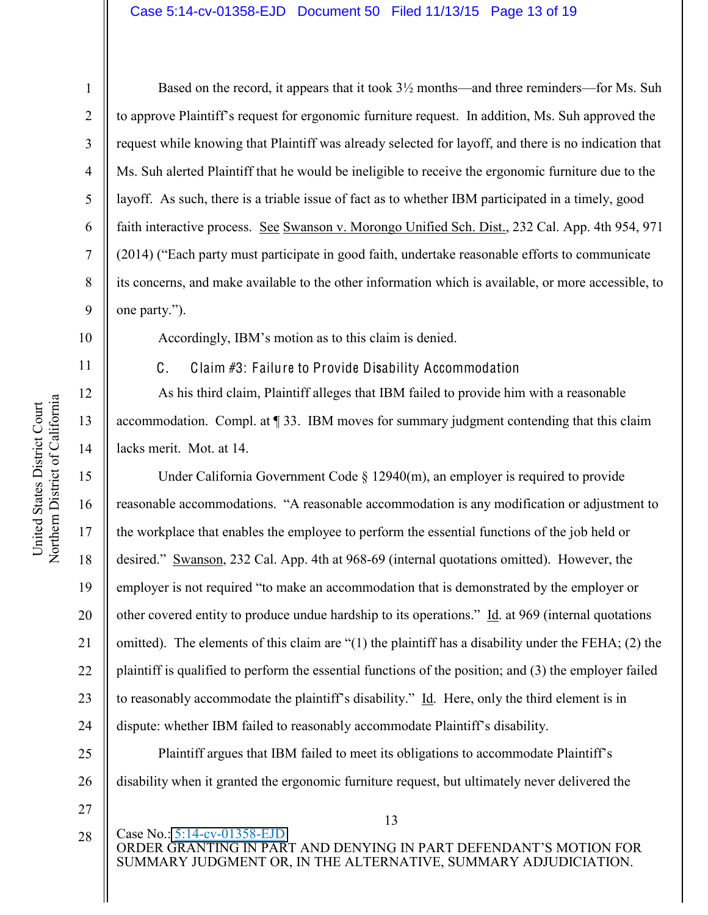### Case 5:14-cv-01358-EJD Document 50 Filed 11/13/15 Page 13 of 19

1

2

3

4

5

6

7

8

9

10

11

12

13

14

15

16

17

18

19

20

21

22

23

24

Based on the record, it appears that it took  $3\frac{1}{2}$  months—and three reminders—for Ms. Suh to approve Plaintiff's request for ergonomic furniture request. In addition, Ms. Suh approved the request while knowing that Plaintiff was already selected for layoff, and there is no indication that Ms. Suh alerted Plaintiff that he would be ineligible to receive the ergonomic furniture due to the layoff. As such, there is a triable issue of fact as to whether IBM participated in a timely, good faith interactive process. See Swanson v. Morongo Unified Sch. Dist., 232 Cal. App. 4th 954, 971  $(2014)$  ("Each party must participate in good faith, undertake reasonable efforts to communicate its concerns, and make available to the other information which is available, or more accessible, to one party.").

Accordingly, IBM's motion as to this claim is denied.

C. Claim #3: Failure to Provide Disability Accommodation

As his third claim, Plaintiff alleges that IBM failed to provide him with a reasonable accommodation. Compl. at ¶ 33. IBM moves for summary judgment contending that this claim lacks merit. Mot. at 14.

Under California Government Code § 12940(m), an employer is required to provide reasonable accommodations. "A reasonable accommodation is any modification or adjustment to the workplace that enables the employee to perform the essential functions of the job held or desired." Swanson, 232 Cal. App. 4th at 968-69 (internal quotations omitted). However, the employer is not required "to make an accommodation that is demonstrated by the employer or other covered entity to produce undue hardship to its operations."  $\underline{Id}$  at 969 (internal quotations omitted). The elements of this claim are " $(1)$  the plaintiff has a disability under the FEHA; (2) the plaintiff is qualified to perform the essential functions of the position; and (3) the employer failed to reasonably accommodate the plaintiff's disability." Id. Here, only the third element is in dispute: whether IBM failed to reasonably accommodate Plaintiff's disability.

25 26 Plaintiff argues that IBM failed to meet its obligations to accommodate Plaintiff's disability when it granted the ergonomic furniture request, but ultimately never delivered the

- 27
- 28

13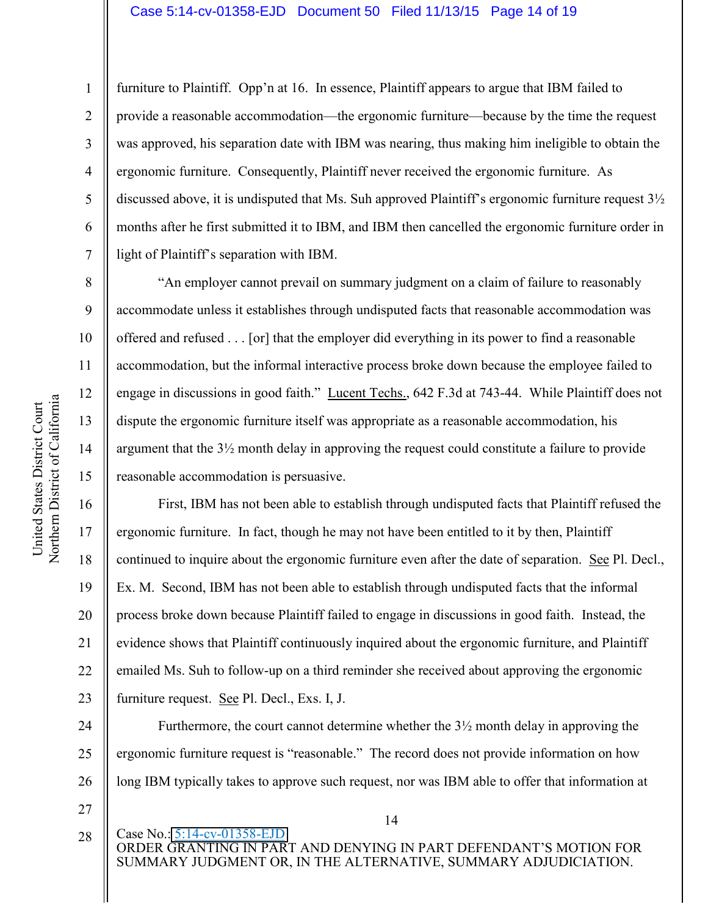### Case 5:14-cv-01358-EJD Document 50 Filed 11/13/15 Page 14 of 19

furniture to Plaintiff. Opp'n at 16. In essence, Plaintiff appears to argue that IBM failed to provide a reasonable accommodation—the ergonomic furniture—because by the time the request was approved, his separation date with IBM was nearing, thus making him ineligible to obtain the ergonomic furniture. Consequently, Plaintiff never received the ergonomic furniture. As discussed above, it is undisputed that Ms. Suh approved Plaintiff's ergonomic furniture request  $3\frac{1}{2}$ months after he first submitted it to IBM, and IBM then cancelled the ergonomic furniture order in light of Plaintiff's separation with IBM.

Ah employer cannot prevail on summary judgment on a claim of failure to reasonably accommodate unless it establishes through undisputed facts that reasonable accommodation was offered and refused . . . [or] that the employer did everything in its power to find a reasonable accommodation, but the informal interactive process broke down because the employee failed to engage in discussions in good faith." Lucent Techs.,  $642$  F.3d at 743-44. While Plaintiff does not dispute the ergonomic furniture itself was appropriate as a reasonable accommodation, his argument that the 3½ month delay in approving the request could constitute a failure to provide reasonable accommodation is persuasive.

First, IBM has not been able to establish through undisputed facts that Plaintiff refused the ergonomic furniture. In fact, though he may not have been entitled to it by then, Plaintiff continued to inquire about the ergonomic furniture even after the date of separation. See Pl. Decl., Ex. M. Second, IBM has not been able to establish through undisputed facts that the informal process broke down because Plaintiff failed to engage in discussions in good faith. Instead, the evidence shows that Plaintiff continuously inquired about the ergonomic furniture, and Plaintiff emailed Ms. Suh to follow-up on a third reminder she received about approving the ergonomic furniture request. See Pl. Decl., Exs. I, J.

24 25 26 Furthermore, the court cannot determine whether the  $3\frac{1}{2}$  month delay in approving the ergonomic furniture request is "reasonable." The record does not provide information on how long IBM typically takes to approve such request, nor was IBM able to offer that information at

1

2

3

4

5

6

7

8

9

10

11

12

13

14

15

16

17

18

19

20

21

22

23

27

28

14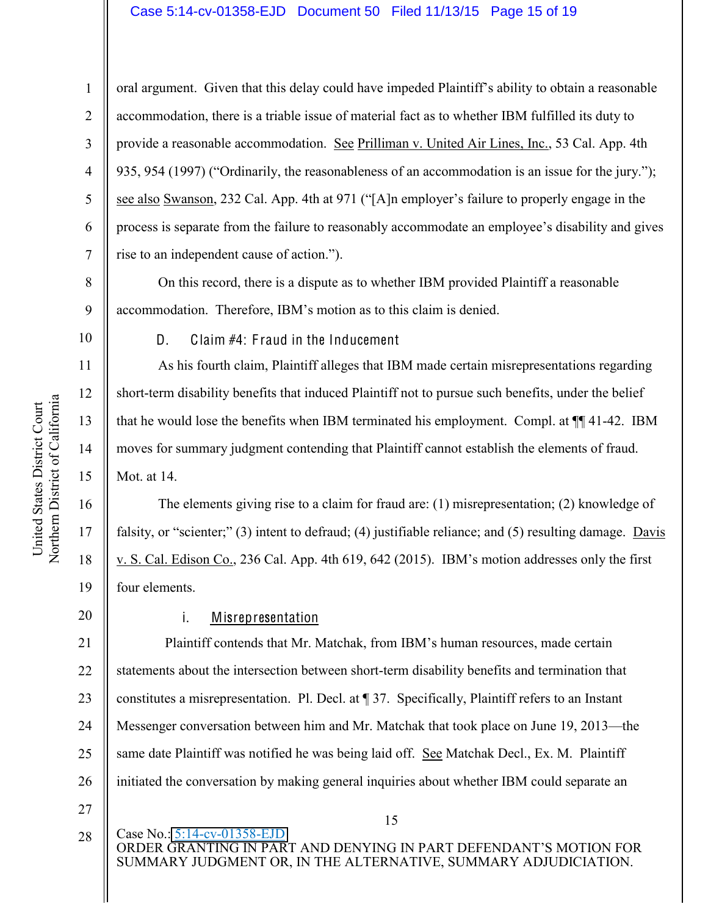### Case 5:14-cv-01358-EJD Document 50 Filed 11/13/15 Page 15 of 19

oral argument. Given that this delay could have impeded Plaintiff's ability to obtain a reasonable accommodation, there is a triable issue of material fact as to whether IBM fulfilled its duty to provide a reasonable accommodation. See Prilliman v. United Air Lines, Inc., 53 Cal. App. 4th 935, 954 (1997) ("Ordinarily, the reasonableness of an accommodation is an issue for the jury."); see also Swanson, 232 Cal. App. 4th at 971 ("[A]n employer's failure to properly engage in the process is separate from the failure to reasonably accommodate an employee's disability and gives rise to an independent cause of action.").

On this record, there is a dispute as to whether IBM provided Plaintiff a reasonable accommodation. Therefore, IBM's motion as to this claim is denied.

10

11

12

13

14

15

17

18

19

1

2

3

4

5

6

7

8

9

D. Claim #4: Fraud in the Inducement

As his fourth claim, Plaintiff alleges that IBM made certain misrepresentations regarding short-term disability benefits that induced Plaintiff not to pursue such benefits, under the belief that he would lose the benefits when IBM terminated his employment. Compl. at ¶¶ 41-42. IBM moves for summary judgment contending that Plaintiff cannot establish the elements of fraud. Mot. at 14.

16 The elements giving rise to a claim for fraud are: (1) misrepresentation; (2) knowledge of falsity, or "scienter;" (3) intent to defraud; (4) justifiable reliance; and (5) resulting damage. Davis v. S. Cal. Edison Co., 236 Cal. App. 4th 619, 642 (2015). IBM's motion addresses only the first four elements.

20

# i. Misrepresentation

21 22 23 24 25 26 Plaintiff contends that Mr. Matchak, from IBM's human resources, made certain statements about the intersection between short-term disability benefits and termination that constitutes a misrepresentation. Pl. Decl. at ¶ 37. Specifically, Plaintiff refers to an Instant Messenger conversation between him and Mr. Matchak that took place on June 19, 2013—the same date Plaintiff was notified he was being laid off. See Matchak Decl., Ex. M. Plaintiff initiated the conversation by making general inquiries about whether IBM could separate an

27

28

15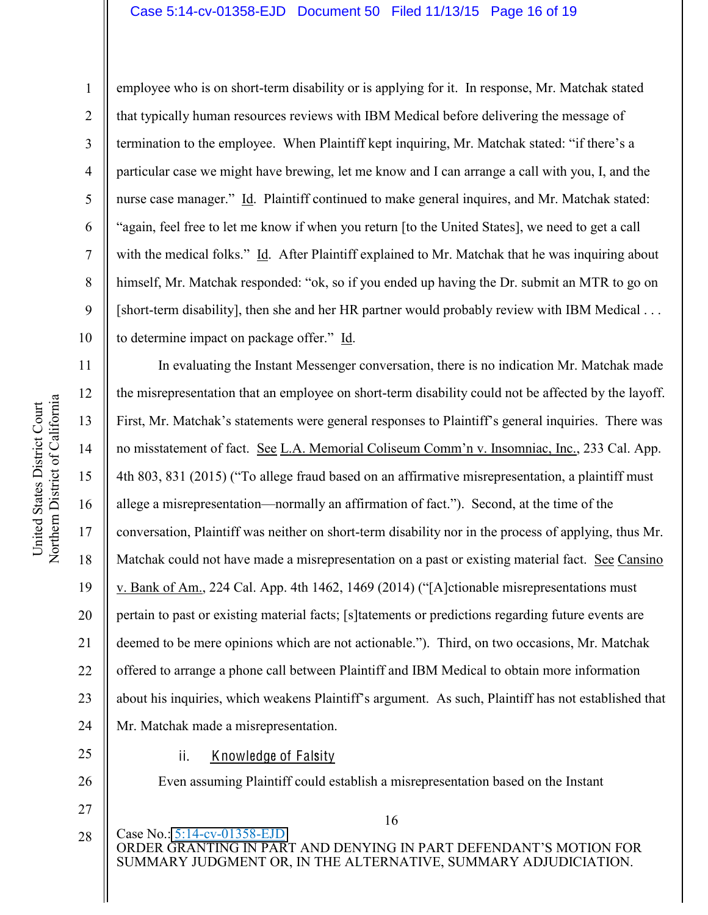### Case 5:14-cv-01358-EJD Document 50 Filed 11/13/15 Page 16 of 19

1 2 3 4 5 6 7 8 9 10 employee who is on short-term disability or is applying for it. In response, Mr. Matchak stated that typically human resources reviews with IBM Medical before delivering the message of termination to the employee. When Plaintiff kept inquiring, Mr. Matchak stated: "if there's a particular case we might have brewing, let me know and I can arrange a call with you, I, and the nurse case manager." Id. Plaintiff continued to make general inquires, and Mr. Matchak stated: "again, feel free to let me know if when you return [to the United States], we need to get a call with the medical folks." Id. After Plaintiff explained to Mr. Matchak that he was inquiring about himself, Mr. Matchak responded: "ok, so if you ended up having the Dr. submit an MTR to go on [short-term disability], then she and her HR partner would probably review with IBM Medical . . . to determine impact on package offer." Id.

11 12 13 14 15 16 17 18 19 20 21 22 23 24 In evaluating the Instant Messenger conversation, there is no indication Mr. Matchak made the misrepresentation that an employee on short-term disability could not be affected by the layoff. First, Mr. Matchak's statements were general responses to Plaintiff's general inquiries. There was no misstatement of fact. See L.A. Memorial Coliseum Comm'n v. Insomniac, Inc., 233 Cal. App. 4th 803, 831 (2015) ("To allege fraud based on an affirmative misrepresentation, a plaintiff must allege a misrepresentation—normally an affirmation of fact."). Second, at the time of the conversation, Plaintiff was neither on short-term disability nor in the process of applying, thus Mr. Matchak could not have made a misrepresentation on a past or existing material fact. See Cansino v. Bank of Am., 224 Cal. App. 4th 1462, 1469 (2014) ("[A]ctionable misrepresentations must pertain to past or existing material facts; [s]tatements or predictions regarding future events are deemed to be mere opinions which are not actionable."). Third, on two occasions, Mr. Matchak offered to arrange a phone call between Plaintiff and IBM Medical to obtain more information about his inquiries, which weakens Plaintiff's argument. As such, Plaintiff has not established that Mr. Matchak made a misrepresentation.

25 26

27

28

ii. Knowledge of Falsity

Even assuming Plaintiff could establish a misrepresentation based on the Instant

16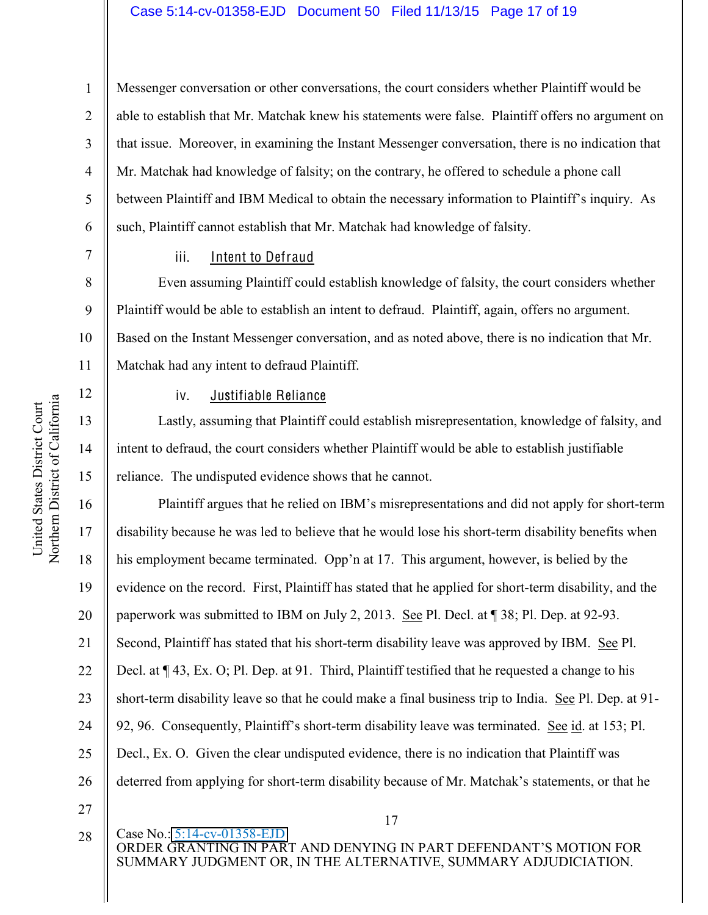### Case 5:14-cv-01358-EJD Document 50 Filed 11/13/15 Page 17 of 19

Messenger conversation or other conversations, the court considers whether Plaintiff would be able to establish that Mr. Matchak knew his statements were false. Plaintiff offers no argument on that issue. Moreover, in examining the Instant Messenger conversation, there is no indication that Mr. Matchak had knowledge of falsity; on the contrary, he offered to schedule a phone call between Plaintiff and IBM Medical to obtain the necessary information to Plaintiff's inquiry. As such, Plaintiff cannot establish that Mr. Matchak had knowledge of falsity.

7 8

9

10

11

12

13

14

15

17

18

19

21

22

23

25

1

2

3

4

5

6

# iii. Intent to Defraud

Even assuming Plaintiff could establish knowledge of falsity, the court considers whether Plaintiff would be able to establish an intent to defraud. Plaintiff, again, offers no argument. Based on the Instant Messenger conversation, and as noted above, there is no indication that Mr. Matchak had any intent to defraud Plaintiff.

### iv. Justifiable Reliance

Lastly, assuming that Plaintiff could establish misrepresentation, knowledge of falsity, and intent to defraud, the court considers whether Plaintiff would be able to establish justifiable reliance. The undisputed evidence shows that he cannot.

16 20 24 26 Plaintiff argues that he relied on IBM's misrepresentations and did not apply for short-term disability because he was led to believe that he would lose his short-term disability benefits when his employment became terminated. Opp'n at 17. This argument, however, is belied by the evidence on the record. First, Plaintiff has stated that he applied for short-term disability, and the paperwork was submitted to IBM on July 2, 2013. See Pl. Decl. at ¶ 38; Pl. Dep. at 92-93. Second, Plaintiff has stated that his short-term disability leave was approved by IBM. See Pl. Decl. at ¶ 43, Ex. O; Pl. Dep. at 91. Third, Plaintiff testified that he requested a change to his short-term disability leave so that he could make a final business trip to India. See Pl. Dep. at 91- 92, 96. Consequently, Plaintiff's short-term disability leave was terminated. See id. at 153; Pl. Decl., Ex. O. Given the clear undisputed evidence, there is no indication that Plaintiff was deterred from applying for short-term disability because of Mr. Matchak's statements, or that he

28

27

17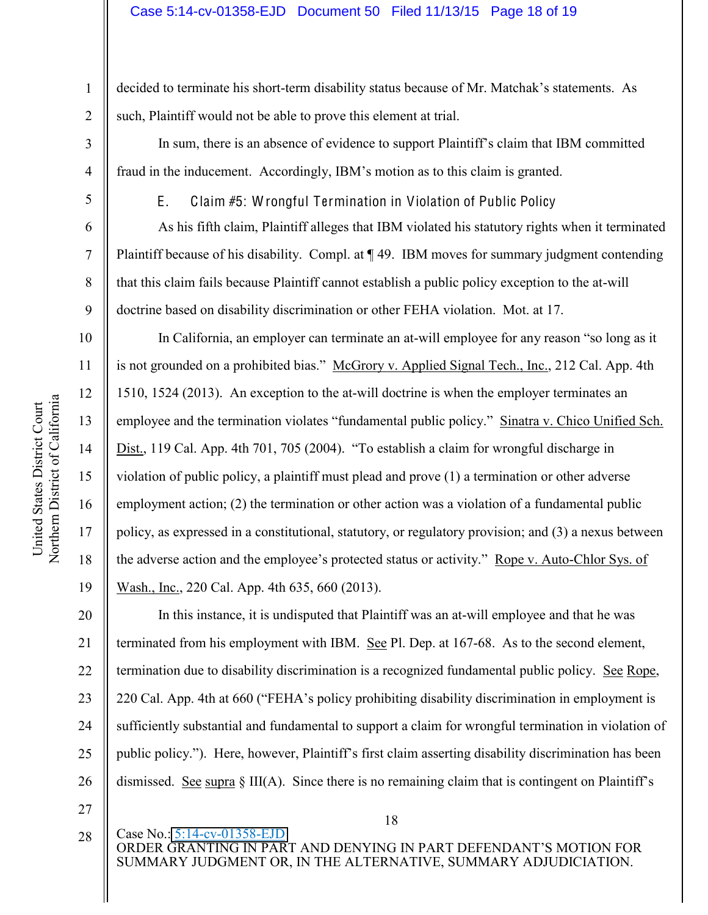1 2 decided to terminate his short-term disability status because of Mr. Matchak's statements. As such, Plaintiff would not be able to prove this element at trial.

In sum, there is an absence of evidence to support Plaintiff's claim that IBM committed fraud in the inducement. Accordingly, IBM's motion as to this claim is granted.

5

3

4

6

7

8

9

10

11

12

13

14

15

16

17

18

19

E. Claim #5: W rongful Termination in Violation of Public Policy

As his fifth claim, Plaintiff alleges that IBM violated his statutory rights when it terminated Plaintiff because of his disability. Compl. at ¶ 49. IBM moves for summary judgment contending that this claim fails because Plaintiff cannot establish a public policy exception to the at-will doctrine based on disability discrimination or other FEHA violation. Mot. at 17.

In California, an employer can terminate an at-will employee for any reason "so long as it is not grounded on a prohibited bias." McGrory v. Applied Signal Tech., Inc., 212 Cal. App. 4th 1510, 1524 (2013). An exception to the at-will doctrine is when the employer terminates an employee and the termination violates "fundamental public policy." Sinatra v. Chico Unified Sch. Dist., 119 Cal. App. 4th 701, 705 (2004). "To establish a claim for wrongful discharge in violation of public policy, a plaintiff must plead and prove (1) a termination or other adverse employment action; (2) the termination or other action was a violation of a fundamental public policy, as expressed in a constitutional, statutory, or regulatory provision; and (3) a nexus between the adverse action and the employee's protected status or activity." Rope v. Auto-Chlor Sys. of Wash., Inc., 220 Cal. App. 4th 635, 660 (2013).

20 21 22 23 24 25 26 In this instance, it is undisputed that Plaintiff was an at-will employee and that he was terminated from his employment with IBM. See Pl. Dep. at 167-68. As to the second element, termination due to disability discrimination is a recognized fundamental public policy. See Rope, 220 Cal. App. 4th at 660 ("FEHA's policy prohibiting disability discrimination in employment is sufficiently substantial and fundamental to support a claim for wrongful termination in violation of public policy."). Here, however, Plaintiff's first claim asserting disability discrimination has been dismissed. See supra  $\S$  III(A). Since there is no remaining claim that is contingent on Plaintiff's

- 27
- 28

18